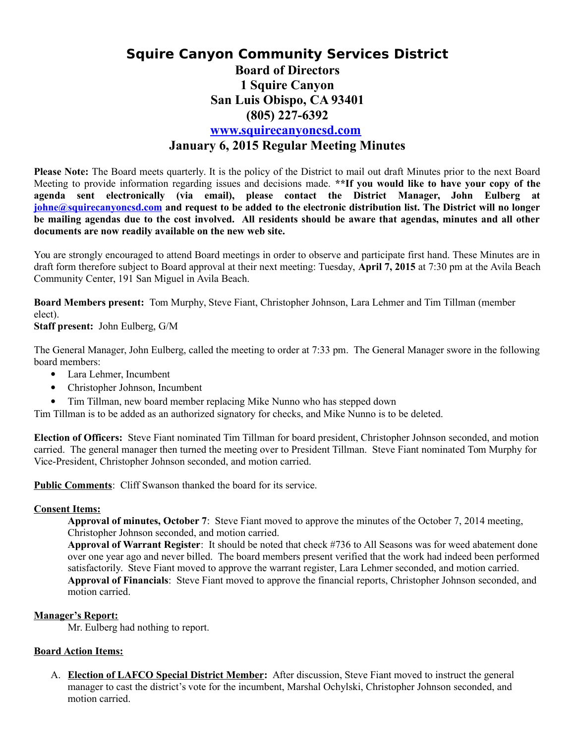## **Squire Canyon Community Services District Board of Directors 1 Squire Canyon San Luis Obispo, CA 93401 (805) 227-6392 [www.squirecanyoncsd.com](http://www.squirecanyoncsd.com/) January 6, 2015 Regular Meeting Minutes**

**Please Note:** The Board meets quarterly. It is the policy of the District to mail out draft Minutes prior to the next Board Meeting to provide information regarding issues and decisions made. **\*\*If you would like to have your copy of the agenda sent electronically (via email), please contact the District Manager, John Eulberg at [johne@squirecanyoncsd.com](mailto:johne@squirecanyoncsd.com) and request to be added to the electronic distribution list. The District will no longer be mailing agendas due to the cost involved. All residents should be aware that agendas, minutes and all other documents are now readily available on the new web site.** 

You are strongly encouraged to attend Board meetings in order to observe and participate first hand. These Minutes are in draft form therefore subject to Board approval at their next meeting: Tuesday, **April 7, 2015** at 7:30 pm at the Avila Beach Community Center, 191 San Miguel in Avila Beach.

**Board Members present:** Tom Murphy, Steve Fiant, Christopher Johnson, Lara Lehmer and Tim Tillman (member elect).

**Staff present:** John Eulberg, G/M

The General Manager, John Eulberg, called the meeting to order at 7:33 pm. The General Manager swore in the following board members:

- Lara Lehmer, Incumbent
- Christopher Johnson, Incumbent
- Tim Tillman, new board member replacing Mike Nunno who has stepped down

Tim Tillman is to be added as an authorized signatory for checks, and Mike Nunno is to be deleted.

**Election of Officers:** Steve Fiant nominated Tim Tillman for board president, Christopher Johnson seconded, and motion carried. The general manager then turned the meeting over to President Tillman. Steve Fiant nominated Tom Murphy for Vice-President, Christopher Johnson seconded, and motion carried.

**Public Comments**: Cliff Swanson thanked the board for its service.

## **Consent Items:**

**Approval of minutes, October 7**: Steve Fiant moved to approve the minutes of the October 7, 2014 meeting, Christopher Johnson seconded, and motion carried.

**Approval of Warrant Register**: It should be noted that check #736 to All Seasons was for weed abatement done over one year ago and never billed. The board members present verified that the work had indeed been performed satisfactorily. Steve Fiant moved to approve the warrant register, Lara Lehmer seconded, and motion carried. **Approval of Financials**: Steve Fiant moved to approve the financial reports, Christopher Johnson seconded, and motion carried.

## **Manager's Report:**

Mr. Eulberg had nothing to report.

## **Board Action Items:**

A. **Election of LAFCO Special District Member:** After discussion, Steve Fiant moved to instruct the general manager to cast the district's vote for the incumbent, Marshal Ochylski, Christopher Johnson seconded, and motion carried.